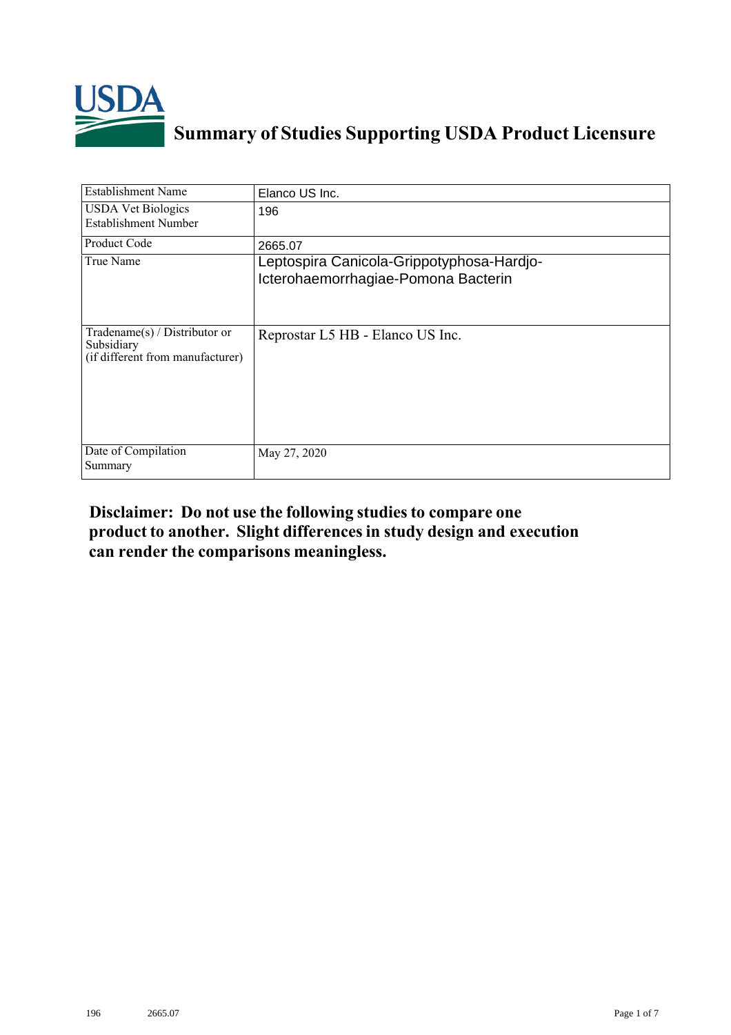

## **Summary of Studies Supporting USDA Product Licensure**

| <b>Establishment Name</b>                                                       | Elanco US Inc.                                                                   |
|---------------------------------------------------------------------------------|----------------------------------------------------------------------------------|
| <b>USDA Vet Biologics</b><br><b>Establishment Number</b>                        | 196                                                                              |
| <b>Product Code</b>                                                             | 2665.07                                                                          |
| True Name                                                                       | Leptospira Canicola-Grippotyphosa-Hardjo-<br>Icterohaemorrhagiae-Pomona Bacterin |
| Tradename(s) / Distributor or<br>Subsidiary<br>(if different from manufacturer) | Reprostar L5 HB - Elanco US Inc.                                                 |
| Date of Compilation<br>Summary                                                  | May 27, 2020                                                                     |

## **Disclaimer: Do not use the following studiesto compare one product to another. Slight differencesin study design and execution can render the comparisons meaningless.**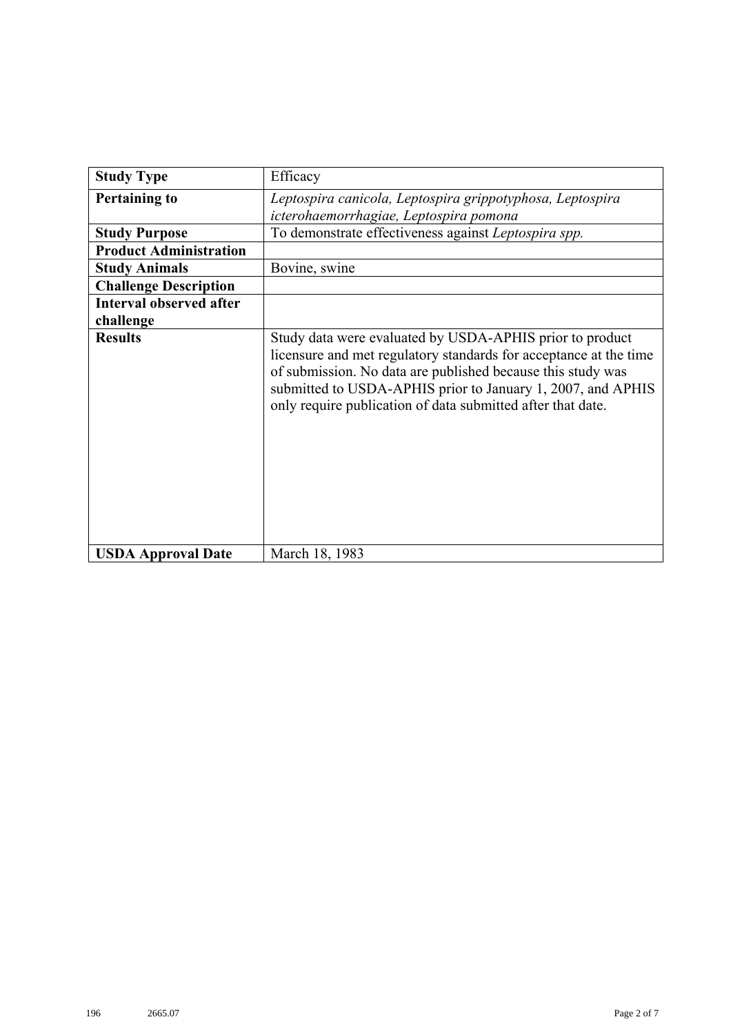| <b>Study Type</b>              | Efficacy                                                                                                                                                                                                                                                                                                                   |
|--------------------------------|----------------------------------------------------------------------------------------------------------------------------------------------------------------------------------------------------------------------------------------------------------------------------------------------------------------------------|
| <b>Pertaining to</b>           | Leptospira canicola, Leptospira grippotyphosa, Leptospira                                                                                                                                                                                                                                                                  |
|                                | icterohaemorrhagiae, Leptospira pomona                                                                                                                                                                                                                                                                                     |
| <b>Study Purpose</b>           | To demonstrate effectiveness against Leptospira spp.                                                                                                                                                                                                                                                                       |
| <b>Product Administration</b>  |                                                                                                                                                                                                                                                                                                                            |
| <b>Study Animals</b>           | Bovine, swine                                                                                                                                                                                                                                                                                                              |
| <b>Challenge Description</b>   |                                                                                                                                                                                                                                                                                                                            |
| <b>Interval observed after</b> |                                                                                                                                                                                                                                                                                                                            |
| challenge                      |                                                                                                                                                                                                                                                                                                                            |
| <b>Results</b>                 | Study data were evaluated by USDA-APHIS prior to product<br>licensure and met regulatory standards for acceptance at the time<br>of submission. No data are published because this study was<br>submitted to USDA-APHIS prior to January 1, 2007, and APHIS<br>only require publication of data submitted after that date. |
| <b>USDA Approval Date</b>      | March 18, 1983                                                                                                                                                                                                                                                                                                             |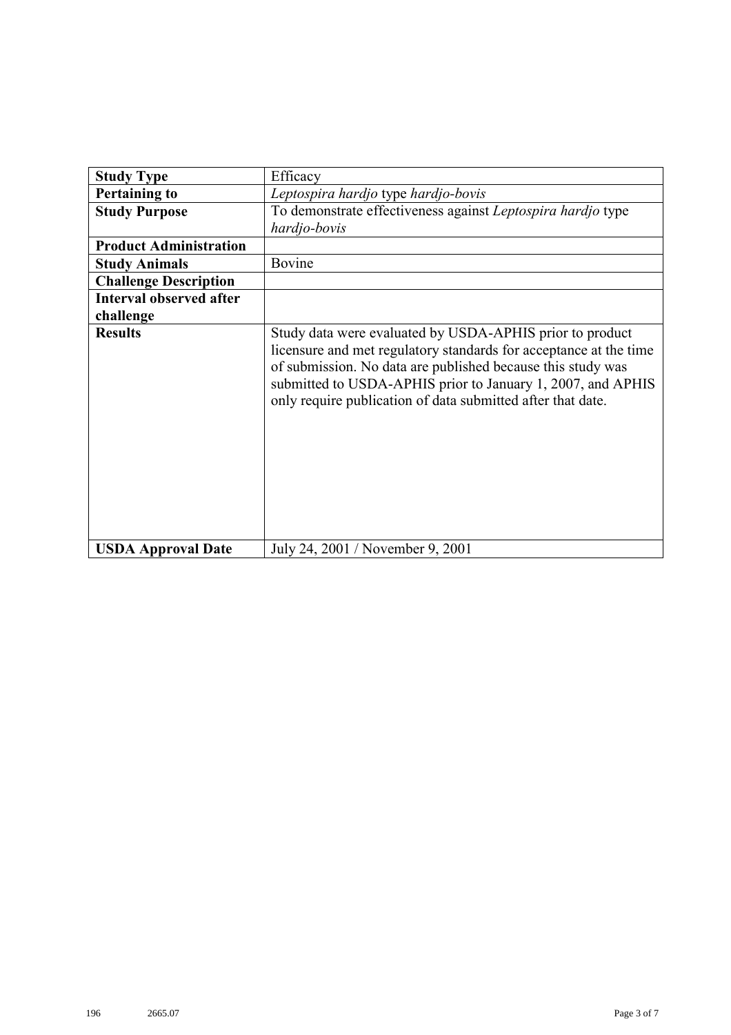| <b>Study Type</b>              | Efficacy                                                                                                                                                                                                                                                                                                                   |
|--------------------------------|----------------------------------------------------------------------------------------------------------------------------------------------------------------------------------------------------------------------------------------------------------------------------------------------------------------------------|
| <b>Pertaining to</b>           | Leptospira hardjo type hardjo-bovis                                                                                                                                                                                                                                                                                        |
| <b>Study Purpose</b>           | To demonstrate effectiveness against Leptospira hardjo type<br>hardjo-bovis                                                                                                                                                                                                                                                |
| <b>Product Administration</b>  |                                                                                                                                                                                                                                                                                                                            |
| <b>Study Animals</b>           | Bovine                                                                                                                                                                                                                                                                                                                     |
| <b>Challenge Description</b>   |                                                                                                                                                                                                                                                                                                                            |
| <b>Interval observed after</b> |                                                                                                                                                                                                                                                                                                                            |
| challenge                      |                                                                                                                                                                                                                                                                                                                            |
| <b>Results</b>                 | Study data were evaluated by USDA-APHIS prior to product<br>licensure and met regulatory standards for acceptance at the time<br>of submission. No data are published because this study was<br>submitted to USDA-APHIS prior to January 1, 2007, and APHIS<br>only require publication of data submitted after that date. |
| <b>USDA Approval Date</b>      | July 24, 2001 / November 9, 2001                                                                                                                                                                                                                                                                                           |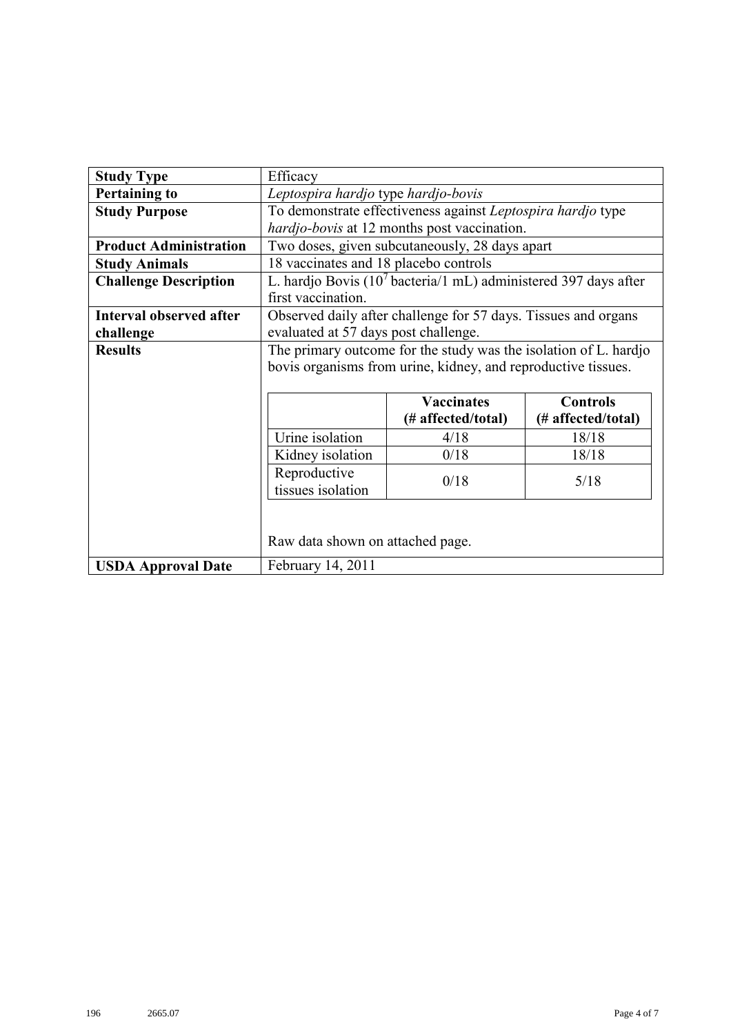| <b>Study Type</b>              | Efficacy                                                         |                                                                             |       |  |  |
|--------------------------------|------------------------------------------------------------------|-----------------------------------------------------------------------------|-------|--|--|
| <b>Pertaining to</b>           | Leptospira hardjo type hardjo-bovis                              |                                                                             |       |  |  |
| <b>Study Purpose</b>           | To demonstrate effectiveness against Leptospira hardjo type      |                                                                             |       |  |  |
|                                |                                                                  | hardjo-bovis at 12 months post vaccination.                                 |       |  |  |
| <b>Product Administration</b>  |                                                                  | Two doses, given subcutaneously, 28 days apart                              |       |  |  |
| <b>Study Animals</b>           | 18 vaccinates and 18 placebo controls                            |                                                                             |       |  |  |
| <b>Challenge Description</b>   |                                                                  | L. hardjo Bovis (10 <sup>7</sup> bacteria/1 mL) administered 397 days after |       |  |  |
|                                | first vaccination.                                               |                                                                             |       |  |  |
| <b>Interval observed after</b> |                                                                  | Observed daily after challenge for 57 days. Tissues and organs              |       |  |  |
| challenge                      | evaluated at 57 days post challenge.                             |                                                                             |       |  |  |
| <b>Results</b>                 | The primary outcome for the study was the isolation of L. hardjo |                                                                             |       |  |  |
|                                | bovis organisms from urine, kidney, and reproductive tissues.    |                                                                             |       |  |  |
|                                |                                                                  |                                                                             |       |  |  |
|                                | <b>Vaccinates</b><br><b>Controls</b>                             |                                                                             |       |  |  |
|                                | (# affected/total)<br>(# affected/total)                         |                                                                             |       |  |  |
|                                | Urine isolation                                                  | 4/18                                                                        | 18/18 |  |  |
|                                | Kidney isolation<br>0/18<br>18/18                                |                                                                             |       |  |  |
|                                | Reproductive                                                     |                                                                             |       |  |  |
|                                | 0/18<br>5/18<br>tissues isolation                                |                                                                             |       |  |  |
|                                |                                                                  |                                                                             |       |  |  |
|                                |                                                                  |                                                                             |       |  |  |
|                                | Raw data shown on attached page.                                 |                                                                             |       |  |  |
| <b>USDA Approval Date</b>      | February 14, 2011                                                |                                                                             |       |  |  |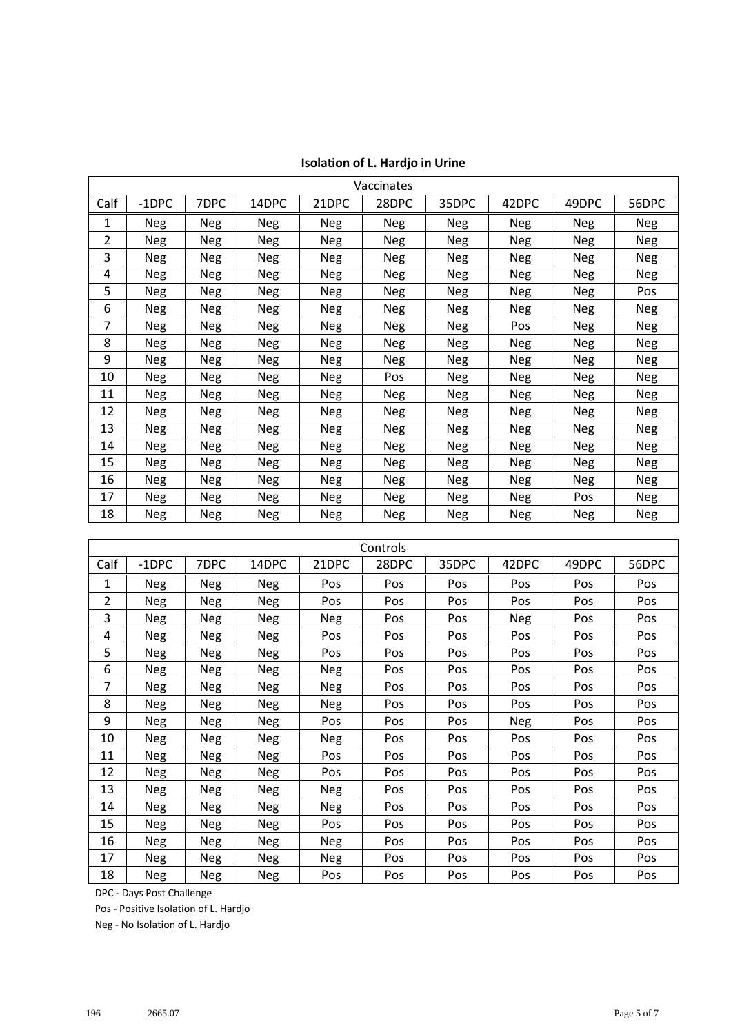|      |            |            |            |            | Vaccinates |            |            |            |            |
|------|------------|------------|------------|------------|------------|------------|------------|------------|------------|
| Calf | $-1$ DPC   | 7DPC       | 14DPC      | 21DPC      | 28DPC      | 35DPC      | 42DPC      | 49DPC      | 56DPC      |
| 1    | Neg        | Neg        | <b>Neg</b> | Neg        | Neg        | Neg        | <b>Neg</b> | <b>Neg</b> | Neg        |
| 2    | <b>Neg</b> | Neg        | Neg        | Neg        | <b>Neg</b> | <b>Neg</b> | Neg        | <b>Neg</b> | <b>Neg</b> |
| 3    | <b>Neg</b> | <b>Neg</b> | <b>Neg</b> | <b>Neg</b> | <b>Neg</b> | Neg        | <b>Neg</b> | Neg        | Neg        |
| 4    | <b>Neg</b> | <b>Neg</b> | <b>Neg</b> | <b>Neg</b> | <b>Neg</b> | <b>Neg</b> | <b>Neg</b> | <b>Neg</b> | <b>Neg</b> |
| 5    | <b>Neg</b> | Neg        | Neg        | <b>Neg</b> | <b>Neg</b> | Neg        | Neg        | <b>Neg</b> | Pos        |
| 6    | <b>Neg</b> | Neg        | <b>Neg</b> | Neg        | <b>Neg</b> | <b>Neg</b> | <b>Neg</b> | Neg        | Neg        |
| 7    | Neg        | <b>Neg</b> | <b>Neg</b> | <b>Neg</b> | Neg        | Neg        | Pos        | Neg        | <b>Neg</b> |
| 8    | Neg        | <b>Neg</b> | <b>Neg</b> | <b>Neg</b> | <b>Neg</b> | <b>Neg</b> | <b>Neg</b> | Neg        | <b>Neg</b> |
| 9    | <b>Neg</b> | <b>Neg</b> | <b>Neg</b> | <b>Neg</b> | <b>Neg</b> | <b>Neg</b> | <b>Neg</b> | Neg        | <b>Neg</b> |
| 10   | <b>Neg</b> | Neg        | <b>Neg</b> | <b>Neg</b> | Pos        | Neg        | <b>Neg</b> | <b>Neg</b> | <b>Neg</b> |
| 11   | <b>Neg</b> | Neg        | <b>Neg</b> | <b>Neg</b> | <b>Neg</b> | Neg        | Neg        | Neg        | <b>Neg</b> |
| 12   | <b>Neg</b> | Neg        | <b>Neg</b> | Neg        | <b>Neg</b> | Neg        | Neg        | Neg        | Neg        |
| 13   | Neg        | Neg        | <b>Neg</b> | <b>Neg</b> | Neg        | Neg        | Neg        | Neg        | <b>Neg</b> |
| 14   | Neg        | Neg        | Neg        | Neg        | Neg        | Neg        | Neg        | Neg        | Neg        |
| 15   | <b>Neg</b> | <b>Neg</b> | Neg        | Neg        | Neg        | <b>Neg</b> | Neg        | Neg        | <b>Neg</b> |
| 16   | <b>Neg</b> | <b>Neg</b> | <b>Neg</b> | Neg        | <b>Neg</b> | <b>Neg</b> | <b>Neg</b> | Neg        | <b>Neg</b> |
| 17   | <b>Neg</b> | Neg        | <b>Neg</b> | <b>Neg</b> | <b>Neg</b> | <b>Neg</b> | Neg        | Pos        | <b>Neg</b> |
| 18   | Neg        | Neg        | Neg        | <b>Neg</b> | Neg        | Neg        | Neg        | Neg        | Neg        |

|      | Controls   |            |            |            |       |       |            |       |       |
|------|------------|------------|------------|------------|-------|-------|------------|-------|-------|
| Calf | $-1$ DPC   | 7DPC       | 14DPC      | 21DPC      | 28DPC | 35DPC | 42DPC      | 49DPC | 56DPC |
| 1    | Neg        | <b>Neg</b> | <b>Neg</b> | Pos        | Pos   | Pos   | Pos        | Pos   | Pos   |
| 2    | <b>Neg</b> | <b>Neg</b> | <b>Neg</b> | Pos        | Pos   | Pos   | Pos        | Pos   | Pos   |
| 3    | <b>Neg</b> | <b>Neg</b> | <b>Neg</b> | <b>Neg</b> | Pos   | Pos   | <b>Neg</b> | Pos   | Pos   |
| 4    | <b>Neg</b> | <b>Neg</b> | Neg        | Pos        | Pos   | Pos   | Pos        | Pos   | Pos   |
| 5    | Neg        | <b>Neg</b> | <b>Neg</b> | Pos        | Pos   | Pos   | Pos        | Pos   | Pos   |
| 6    | <b>Neg</b> | <b>Neg</b> | <b>Neg</b> | <b>Neg</b> | Pos   | Pos   | Pos        | Pos   | Pos   |
| 7    | <b>Neg</b> | <b>Neg</b> | Neg        | Neg        | Pos   | Pos   | Pos        | Pos   | Pos   |
| 8    | <b>Neg</b> | <b>Neg</b> | <b>Neg</b> | <b>Neg</b> | Pos   | Pos   | Pos        | Pos   | Pos   |
| 9    | Neg        | <b>Neg</b> | <b>Neg</b> | Pos        | Pos   | Pos   | <b>Neg</b> | Pos   | Pos   |
| 10   | Neg        | <b>Neg</b> | <b>Neg</b> | <b>Neg</b> | Pos   | Pos   | Pos        | Pos   | Pos   |
| 11   | Neg        | <b>Neg</b> | <b>Neg</b> | Pos        | Pos   | Pos   | Pos        | Pos   | Pos   |
| 12   | Neg        | Neg        | <b>Neg</b> | Pos        | Pos   | Pos   | Pos        | Pos   | Pos   |
| 13   | <b>Neg</b> | <b>Neg</b> | Neg        | <b>Neg</b> | Pos   | Pos   | Pos        | Pos   | Pos   |
| 14   | <b>Neg</b> | Neg        | Neg        | Neg        | Pos   | Pos   | Pos        | Pos   | Pos   |
| 15   | Neg        | <b>Neg</b> | <b>Neg</b> | Pos        | Pos   | Pos   | Pos        | Pos   | Pos   |
| 16   | <b>Neg</b> | <b>Neg</b> | Neg        | <b>Neg</b> | Pos   | Pos   | Pos        | Pos   | Pos   |
| 17   | <b>Neg</b> | <b>Neg</b> | Neg        | <b>Neg</b> | Pos   | Pos   | Pos        | Pos   | Pos   |
| 18   | <b>Neg</b> | <b>Neg</b> | <b>Neg</b> | Pos        | Pos   | Pos   | Pos        | Pos   | Pos   |

DPC - Days Post Challenge

Pos - Positive Isolation of L. Hardjo

Neg - No Isolation of L. Hardjo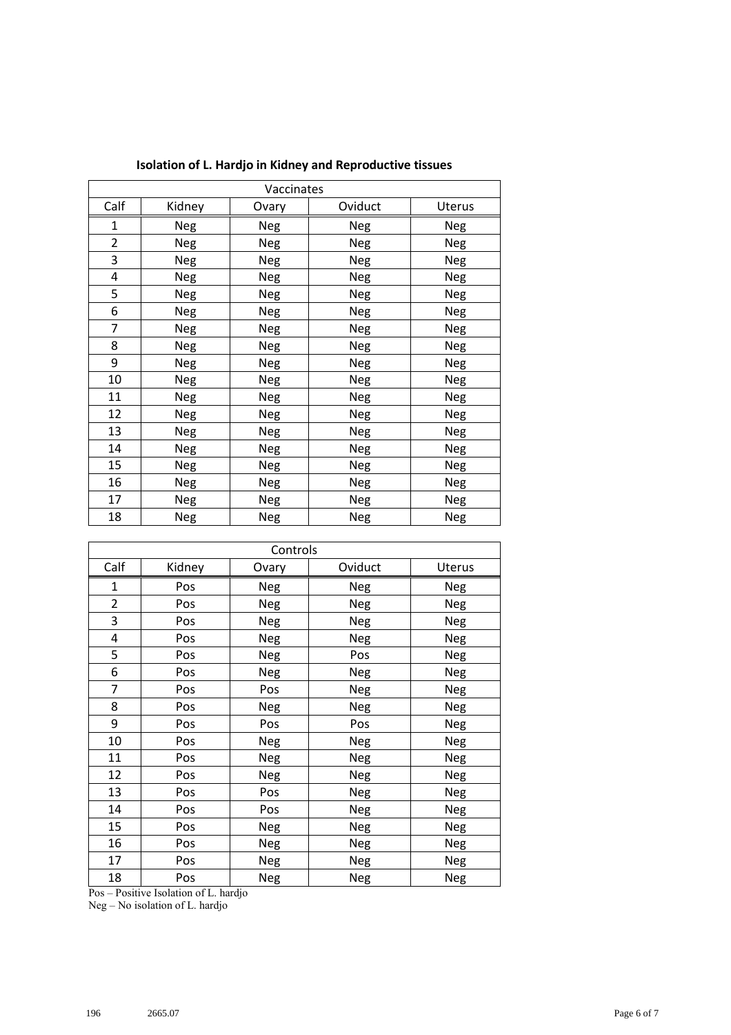|                | Vaccinates |       |         |            |  |  |
|----------------|------------|-------|---------|------------|--|--|
| Calf           | Kidney     | Ovary | Oviduct | Uterus     |  |  |
| 1              | Neg        | Neg   | Neg     | Neg        |  |  |
| $\overline{2}$ | Neg        | Neg   | Neg     | Neg        |  |  |
| 3              | Neg        | Neg   | Neg     | Neg        |  |  |
| 4              | Neg        | Neg   | Neg     | Neg        |  |  |
| 5              | Neg        | Neg   | Neg     | Neg        |  |  |
| 6              | Neg        | Neg   | Neg     | Neg        |  |  |
| 7              | Neg        | Neg   | Neg     | Neg        |  |  |
| 8              | Neg        | Neg   | Neg     | Neg        |  |  |
| 9              | Neg        | Neg   | Neg     | Neg        |  |  |
| 10             | Neg        | Neg   | Neg     | <b>Neg</b> |  |  |
| 11             | Neg        | Neg   | Neg     | Neg        |  |  |
| 12             | Neg        | Neg   | Neg     | Neg        |  |  |
| 13             | Neg        | Neg   | Neg     | Neg        |  |  |
| 14             | Neg        | Neg   | Neg     | Neg        |  |  |
| 15             | Neg        | Neg   | Neg     | Neg        |  |  |
| 16             | Neg        | Neg   | Neg     | Neg        |  |  |
| 17             | Neg        | Neg   | Neg     | Neg        |  |  |
| 18             | Neg        | Neg   | Neg     | Neg        |  |  |

**Isolation of L. Hardjo in Kidney and Reproductive tissues**

| Controls       |        |            |            |            |  |
|----------------|--------|------------|------------|------------|--|
| Calf           | Kidney | Ovary      | Oviduct    | Uterus     |  |
| $\mathbf{1}$   | Pos    | Neg        | Neg        | Neg        |  |
| $\overline{2}$ | Pos    | <b>Neg</b> | <b>Neg</b> | <b>Neg</b> |  |
| 3              | Pos    | <b>Neg</b> | Neg        | <b>Neg</b> |  |
| 4              | Pos    | <b>Neg</b> | <b>Neg</b> | <b>Neg</b> |  |
| 5              | Pos    | Neg        | Pos        | <b>Neg</b> |  |
| 6              | Pos    | <b>Neg</b> | Neg        | <b>Neg</b> |  |
| $\overline{7}$ | Pos    | Pos        | Neg        | <b>Neg</b> |  |
| 8              | Pos    | <b>Neg</b> | <b>Neg</b> | <b>Neg</b> |  |
| 9              | Pos    | Pos        | Pos        | <b>Neg</b> |  |
| 10             | Pos    | <b>Neg</b> | <b>Neg</b> | <b>Neg</b> |  |
| 11             | Pos    | <b>Neg</b> | Neg        | <b>Neg</b> |  |
| 12             | Pos    | <b>Neg</b> | Neg        | <b>Neg</b> |  |
| 13             | Pos    | Pos        | Neg        | <b>Neg</b> |  |
| 14             | Pos    | Pos        | <b>Neg</b> | <b>Neg</b> |  |
| 15             | Pos    | <b>Neg</b> | <b>Neg</b> | <b>Neg</b> |  |
| 16             | Pos    | Neg        | Neg        | <b>Neg</b> |  |
| 17             | Pos    | Neg        | <b>Neg</b> | <b>Neg</b> |  |
| 18             | Pos    | <b>Neg</b> | Neg        | <b>Neg</b> |  |

Pos – Positive Isolation of L. hardjo

Neg – No isolation of L. hardjo